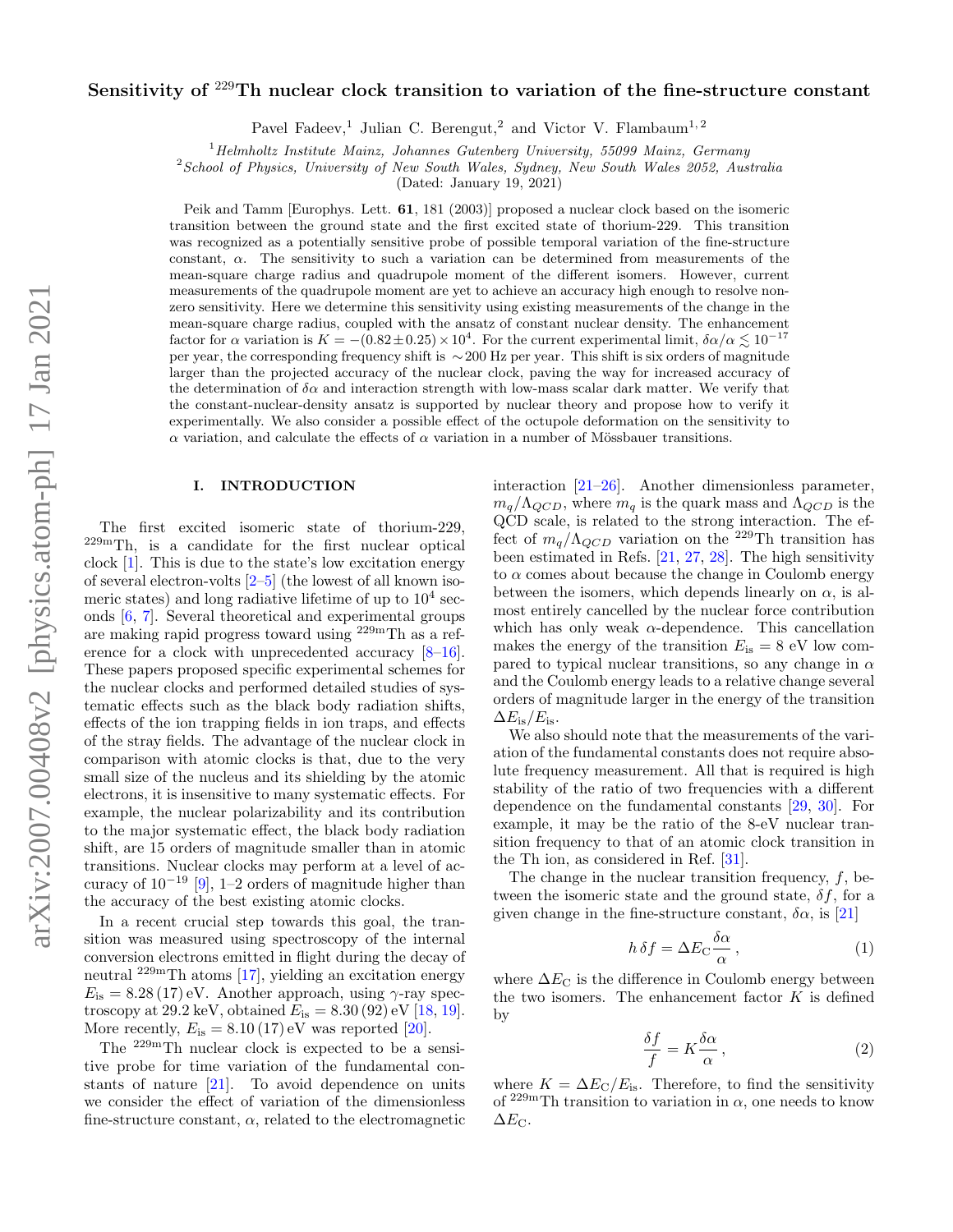# arXiv:2007.00408v2 [physics.atom-ph] 17 Jan 2021 arXiv:2007.00408v2 [physics.atom-ph] 17 Jan 2021

# Sensitivity of <sup>229</sup>Th nuclear clock transition to variation of the fine-structure constant

Pavel Fadeev,<sup>1</sup> Julian C. Berengut,<sup>2</sup> and Victor V. Flambaum<sup>1,2</sup>

 $1$ <sup>1</sup>Helmholtz Institute Mainz, Johannes Gutenberg University, 55099 Mainz, Germany

<sup>2</sup>School of Physics, University of New South Wales, Sydney, New South Wales 2052, Australia

(Dated: January 19, 2021)

Peik and Tamm [Europhys. Lett. 61, 181 (2003)] proposed a nuclear clock based on the isomeric transition between the ground state and the first excited state of thorium-229. This transition was recognized as a potentially sensitive probe of possible temporal variation of the fine-structure constant,  $\alpha$ . The sensitivity to such a variation can be determined from measurements of the mean-square charge radius and quadrupole moment of the different isomers. However, current measurements of the quadrupole moment are yet to achieve an accuracy high enough to resolve nonzero sensitivity. Here we determine this sensitivity using existing measurements of the change in the mean-square charge radius, coupled with the ansatz of constant nuclear density. The enhancement factor for  $\alpha$  variation is  $K = -(0.82 \pm 0.25) \times 10^4$ . For the current experimental limit,  $\delta \alpha/\alpha \lesssim 10^{-17}$ per year, the corresponding frequency shift is ∼200 Hz per year. This shift is six orders of magnitude larger than the projected accuracy of the nuclear clock, paving the way for increased accuracy of the determination of  $\delta \alpha$  and interaction strength with low-mass scalar dark matter. We verify that the constant-nuclear-density ansatz is supported by nuclear theory and propose how to verify it experimentally. We also consider a possible effect of the octupole deformation on the sensitivity to α variation, and calculate the effects of α variation in a number of Mössbauer transitions.

# I. INTRODUCTION

The first excited isomeric state of thorium-229, 229mTh, is a candidate for the first nuclear optical clock [\[1\]](#page-4-0). This is due to the state's low excitation energy of several electron-volts [\[2–](#page-4-1)[5\]](#page-4-2) (the lowest of all known isomeric states) and long radiative lifetime of up to  $10^4$  seconds [\[6,](#page-4-3) [7\]](#page-4-4). Several theoretical and experimental groups are making rapid progress toward using 229mTh as a reference for a clock with unprecedented accuracy [\[8–](#page-4-5)[16\]](#page-4-6). These papers proposed specific experimental schemes for the nuclear clocks and performed detailed studies of systematic effects such as the black body radiation shifts, effects of the ion trapping fields in ion traps, and effects of the stray fields. The advantage of the nuclear clock in comparison with atomic clocks is that, due to the very small size of the nucleus and its shielding by the atomic electrons, it is insensitive to many systematic effects. For example, the nuclear polarizability and its contribution to the major systematic effect, the black body radiation shift, are 15 orders of magnitude smaller than in atomic transitions. Nuclear clocks may perform at a level of accuracy of  $10^{-19}$  [\[9\]](#page-4-7), 1–2 orders of magnitude higher than the accuracy of the best existing atomic clocks.

In a recent crucial step towards this goal, the transition was measured using spectroscopy of the internal conversion electrons emitted in flight during the decay of neutral 229mTh atoms [\[17\]](#page-5-0), yielding an excitation energy  $E_{\rm is} = 8.28(17)$  eV. Another approach, using  $\gamma$ -ray spectroscopy at 29.2 keV, obtained  $E_{\rm is} = 8.30 (92) \,\text{eV}$  [\[18,](#page-5-1) [19\]](#page-5-2). More recently,  $E_{\text{is}} = 8.10 (17) \text{ eV}$  was reported [\[20\]](#page-5-3).

The  $229m$ Th nuclear clock is expected to be a sensitive probe for time variation of the fundamental constants of nature  $[21]$ . To avoid dependence on units we consider the effect of variation of the dimensionless fine-structure constant,  $\alpha$ , related to the electromagnetic interaction [\[21](#page-5-4)[–26\]](#page-5-5). Another dimensionless parameter,  $m_q/\Lambda_{QCD}$ , where  $m_q$  is the quark mass and  $\Lambda_{QCD}$  is the QCD scale, is related to the strong interaction. The effect of  $m_q/\Lambda_{QCD}$  variation on the <sup>229</sup>Th transition has been estimated in Refs. [\[21,](#page-5-4) [27,](#page-5-6) [28\]](#page-5-7). The high sensitivity to  $\alpha$  comes about because the change in Coulomb energy between the isomers, which depends linearly on  $\alpha$ , is almost entirely cancelled by the nuclear force contribution which has only weak  $\alpha$ -dependence. This cancellation makes the energy of the transition  $E_{\rm is} = 8$  eV low compared to typical nuclear transitions, so any change in  $\alpha$ and the Coulomb energy leads to a relative change several orders of magnitude larger in the energy of the transition  $\Delta E_{\rm is}/E_{\rm is}$ .

We also should note that the measurements of the variation of the fundamental constants does not require absolute frequency measurement. All that is required is high stability of the ratio of two frequencies with a different dependence on the fundamental constants [\[29,](#page-5-8) [30\]](#page-5-9). For example, it may be the ratio of the 8-eV nuclear transition frequency to that of an atomic clock transition in the Th ion, as considered in Ref. [\[31\]](#page-5-10).

The change in the nuclear transition frequency,  $f$ , between the isomeric state and the ground state,  $\delta f$ , for a given change in the fine-structure constant,  $\delta \alpha$ , is [\[21\]](#page-5-4)

$$
h \,\delta f = \Delta E_{\rm C} \frac{\delta \alpha}{\alpha} \,,\tag{1}
$$

where  $\Delta E_{\text{C}}$  is the difference in Coulomb energy between the two isomers. The enhancement factor  $K$  is defined by

$$
\frac{\delta f}{f} = K \frac{\delta \alpha}{\alpha},\tag{2}
$$

where  $K = \Delta E_C/E_{is}$ . Therefore, to find the sensitivity of  $229m$ Th transition to variation in  $\alpha$ , one needs to know  $\Delta E_{\text{C}}$ .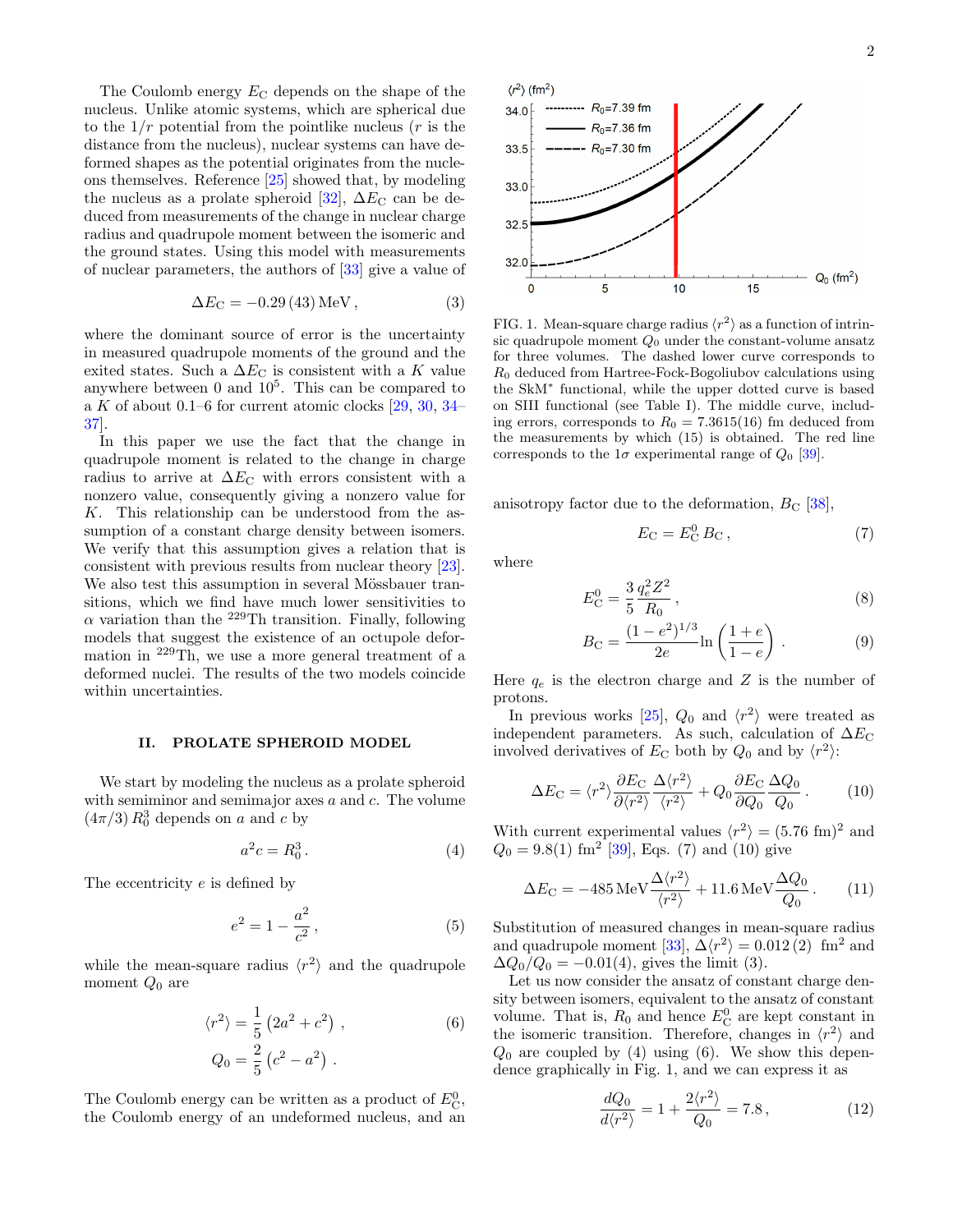The Coulomb energy  $E_{\rm C}$  depends on the shape of the nucleus. Unlike atomic systems, which are spherical due to the  $1/r$  potential from the pointlike nucleus  $(r \text{ is the})$ distance from the nucleus), nuclear systems can have deformed shapes as the potential originates from the nucleons themselves. Reference [\[25\]](#page-5-11) showed that, by modeling the nucleus as a prolate spheroid [\[32\]](#page-5-12),  $\Delta E_{\rm C}$  can be deduced from measurements of the change in nuclear charge radius and quadrupole moment between the isomeric and the ground states. Using this model with measurements of nuclear parameters, the authors of [\[33\]](#page-5-13) give a value of

$$
\Delta E_{\rm C} = -0.29(43) \,\text{MeV} \,, \tag{3}
$$

where the dominant source of error is the uncertainty in measured quadrupole moments of the ground and the exited states. Such a  $\Delta E_{\text{C}}$  is consistent with a K value anywhere between  $0$  and  $10^5$ . This can be compared to a K of about 0.1–6 for current atomic clocks  $[29, 30, 34]$  $[29, 30, 34]$  $[29, 30, 34]$  $[29, 30, 34]$ [37\]](#page-5-15).

In this paper we use the fact that the change in quadrupole moment is related to the change in charge radius to arrive at  $\Delta E_{\text{C}}$  with errors consistent with a nonzero value, consequently giving a nonzero value for K. This relationship can be understood from the assumption of a constant charge density between isomers. We verify that this assumption gives a relation that is consistent with previous results from nuclear theory [\[23\]](#page-5-16). We also test this assumption in several Mössbauer transitions, which we find have much lower sensitivities to  $\alpha$  variation than the <sup>229</sup>Th transition. Finally, following models that suggest the existence of an octupole deformation in <sup>229</sup>Th, we use a more general treatment of a deformed nuclei. The results of the two models coincide within uncertainties.

### II. PROLATE SPHEROID MODEL

We start by modeling the nucleus as a prolate spheroid with semiminor and semimajor axes a and c. The volume  $(4\pi/3) R_0^3$  depends on a and c by

$$
a^2c = R_0^3. \tag{4}
$$

The eccentricity e is defined by

$$
e^2 = 1 - \frac{a^2}{c^2},\tag{5}
$$

while the mean-square radius  $\langle r^2 \rangle$  and the quadrupole moment  $Q_0$  are

$$
\langle r^2 \rangle = \frac{1}{5} \left( 2a^2 + c^2 \right) ,
$$
  
\n
$$
Q_0 = \frac{2}{5} \left( c^2 - a^2 \right) .
$$
 (6)

The Coulomb energy can be written as a product of  $E^0_{\text{C}}$ , the Coulomb energy of an undeformed nucleus, and an



<span id="page-1-5"></span><span id="page-1-2"></span>FIG. 1. Mean-square charge radius  $\langle r^2 \rangle$  as a function of intrinsic quadrupole moment  $Q_0$  under the constant-volume ansatz for three volumes. The dashed lower curve corresponds to  $R_0$  deduced from Hartree-Fock-Bogoliubov calculations using the SkM<sup>∗</sup> functional, while the upper dotted curve is based on SIII functional (see Table [I\)](#page-2-0). The middle curve, including errors, corresponds to  $R_0 = 7.3615(16)$  fm deduced from the measurements by which [\(15\)](#page-2-1) is obtained. The red line corresponds to the  $1\sigma$  experimental range of  $Q_0$  [\[39\]](#page-5-17).

anisotropy factor due to the deformation,  $B_{\rm C}$  [\[38\]](#page-5-18),

<span id="page-1-0"></span>
$$
E_{\rm C} = E_{\rm C}^0 \, B_{\rm C} \,, \tag{7}
$$

where

$$
E_{\rm C}^0 = \frac{3}{5} \frac{q_e^2 Z^2}{R_0},\tag{8}
$$

<span id="page-1-1"></span>
$$
B_{\rm C} = \frac{(1 - e^2)^{1/3}}{2e} \ln\left(\frac{1 + e}{1 - e}\right) \,. \tag{9}
$$

Here  $q_e$  is the electron charge and Z is the number of protons.

In previous works [\[25\]](#page-5-11),  $Q_0$  and  $\langle r^2 \rangle$  were treated as independent parameters. As such, calculation of  $\Delta E_{\text{C}}$ involved derivatives of  $E_{\rm C}$  both by  $Q_0$  and by  $\langle r^2 \rangle$ :

$$
\Delta E_{\rm C} = \langle r^2 \rangle \frac{\partial E_{\rm C}}{\partial \langle r^2 \rangle} \frac{\Delta \langle r^2 \rangle}{\langle r^2 \rangle} + Q_0 \frac{\partial E_{\rm C}}{\partial Q_0} \frac{\Delta Q_0}{Q_0} \,. \tag{10}
$$

<span id="page-1-3"></span>With current experimental values  $\langle r^2 \rangle = (5.76 \text{ fm})^2$  and  $Q_0 = 9.8(1)$  fm<sup>2</sup> [\[39\]](#page-5-17), Eqs. [\(7\)](#page-1-0) and [\(10\)](#page-1-1) give

<span id="page-1-7"></span>
$$
\Delta E_{\rm C} = -485 \,\text{MeV} \frac{\Delta \langle r^2 \rangle}{\langle r^2 \rangle} + 11.6 \,\text{MeV} \frac{\Delta Q_0}{Q_0} \,. \tag{11}
$$

Substitution of measured changes in mean-square radius and quadrupole moment [\[33\]](#page-5-13),  $\Delta \langle r^2 \rangle = 0.012$  (2) fm<sup>2</sup> and  $\Delta Q_0/Q_0 = -0.01(4)$ , gives the limit [\(3\)](#page-1-2).

<span id="page-1-4"></span>Let us now consider the ansatz of constant charge density between isomers, equivalent to the ansatz of constant volume. That is,  $R_0$  and hence  $E_C^0$  are kept constant in the isomeric transition. Therefore, changes in  $\langle r^2 \rangle$  and  $Q_0$  are coupled by [\(4\)](#page-1-3) using [\(6\)](#page-1-4). We show this dependence graphically in Fig. [1,](#page-1-5) and we can express it as

<span id="page-1-6"></span>
$$
\frac{dQ_0}{d\langle r^2 \rangle} = 1 + \frac{2\langle r^2 \rangle}{Q_0} = 7.8, \tag{12}
$$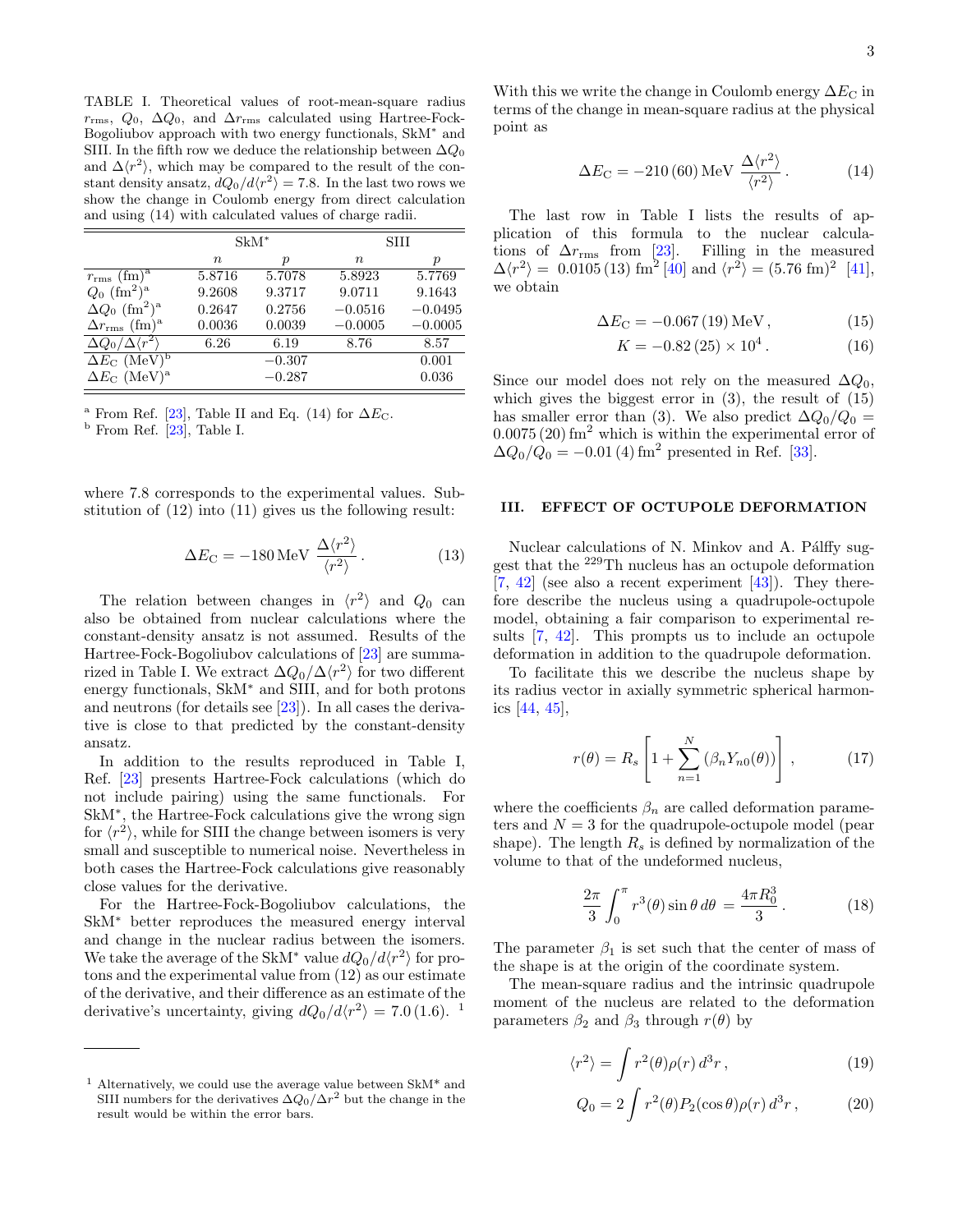<span id="page-2-0"></span>TABLE I. Theoretical values of root-mean-square radius  $r_{\rm rms}, Q_0, \Delta Q_0$ , and  $\Delta r_{\rm rms}$  calculated using Hartree-Fock-Bogoliubov approach with two energy functionals, SkM<sup>∗</sup> and SIII. In the fifth row we deduce the relationship between  $\Delta Q_0$ and  $\Delta\langle r^2\rangle$ , which may be compared to the result of the constant density ansatz,  $dQ_0/d\langle r^2 \rangle = 7.8$ . In the last two rows we show the change in Coulomb energy from direct calculation and using [\(14\)](#page-2-2) with calculated values of charge radii.

|                                              | $\rm SkM^*$ |          | SHI         |                  |
|----------------------------------------------|-------------|----------|-------------|------------------|
|                                              | $\, n$      | р        | $n_{\rm c}$ | $\boldsymbol{p}$ |
| $r_{\rm rms}$ (fm) <sup>a</sup>              | 5.8716      | 5.7078   | 5.8923      | 5.7769           |
| $Q_0$ (fm <sup>2</sup> ) <sup>a</sup>        | 9.2608      | 9.3717   | 9.0711      | 9.1643           |
| $\Delta Q_0$ (fm <sup>2</sup> ) <sup>a</sup> | 0.2647      | 0.2756   | $-0.0516$   | $-0.0495$        |
| $\Delta r_{\rm rms}$ (fm) <sup>a</sup>       | 0.0036      | 0.0039   | $-0.0005$   | $-0.0005$        |
| $\Delta Q_0/\Delta \langle r^2 \rangle$      | 6.26        | 6.19     | 8.76        | 8.57             |
| $\Delta E_{\rm C}$ (MeV) <sup>b</sup>        |             | $-0.307$ |             | 0.001            |
| $\Delta E_{\rm C}$ (MeV) <sup>a</sup>        |             | $-0.287$ |             | 0.036            |

<sup>a</sup> From Ref. [\[23\]](#page-5-16), Table II and Eq. [\(14\)](#page-2-2) for  $\Delta E_{\text{C}}$ .

 $<sup>b</sup>$  From Ref. [\[23\]](#page-5-16), Table I.</sup>

where 7.8 corresponds to the experimental values. Substitution of [\(12\)](#page-1-6) into [\(11\)](#page-1-7) gives us the following result:

<span id="page-2-6"></span>
$$
\Delta E_{\rm C} = -180 \,\text{MeV} \,\frac{\Delta \langle r^2 \rangle}{\langle r^2 \rangle} \,. \tag{13}
$$

The relation between changes in  $\langle r^2 \rangle$  and  $Q_0$  can also be obtained from nuclear calculations where the constant-density ansatz is not assumed. Results of the Hartree-Fock-Bogoliubov calculations of [\[23\]](#page-5-16) are summa-rized in Table [I.](#page-2-0) We extract  $\Delta Q_0/\Delta \langle r^2 \rangle$  for two different energy functionals, SkM<sup>∗</sup> and SIII, and for both protons and neutrons (for details see [\[23\]](#page-5-16)). In all cases the derivative is close to that predicted by the constant-density ansatz.

In addition to the results reproduced in Table [I,](#page-2-0) Ref. [\[23\]](#page-5-16) presents Hartree-Fock calculations (which do not include pairing) using the same functionals. For SkM<sup>∗</sup> , the Hartree-Fock calculations give the wrong sign for  $\langle r^2 \rangle$ , while for SIII the change between isomers is very small and susceptible to numerical noise. Nevertheless in both cases the Hartree-Fock calculations give reasonably close values for the derivative.

For the Hartree-Fock-Bogoliubov calculations, the SkM<sup>∗</sup> better reproduces the measured energy interval and change in the nuclear radius between the isomers. We take the average of the SkM<sup>\*</sup> value  $dQ_0/d\langle r^2\rangle$  for protons and the experimental value from [\(12\)](#page-1-6) as our estimate of the derivative, and their difference as an estimate of the derivative's uncertainty, giving  $dQ_0/d\langle r^2 \rangle = 7.0$  ([1](#page-2-3).6). <sup>1</sup>

With this we write the change in Coulomb energy  $\Delta E_{\rm C}$  in terms of the change in mean-square radius at the physical point as

<span id="page-2-2"></span>
$$
\Delta E_{\rm C} = -210\,(60)\,\text{MeV}\,\frac{\Delta\langle r^2\rangle}{\langle r^2\rangle} \,. \tag{14}
$$

The last row in Table [I](#page-2-0) lists the results of application of this formula to the nuclear calculations of  $\Delta r_{\rm rms}$  from [\[23\]](#page-5-16). Filling in the measured  $\Delta \langle r^2 \rangle = 0.0105(13) \text{ fm}^2 \,[40] \text{ and } \langle r^2 \rangle = (5.76 \text{ fm})^2 \,[41],$  $\Delta \langle r^2 \rangle = 0.0105(13) \text{ fm}^2 \,[40] \text{ and } \langle r^2 \rangle = (5.76 \text{ fm})^2 \,[41],$  $\Delta \langle r^2 \rangle = 0.0105(13) \text{ fm}^2 \,[40] \text{ and } \langle r^2 \rangle = (5.76 \text{ fm})^2 \,[41],$  $\Delta \langle r^2 \rangle = 0.0105(13) \text{ fm}^2 \,[40] \text{ and } \langle r^2 \rangle = (5.76 \text{ fm})^2 \,[41],$  $\Delta \langle r^2 \rangle = 0.0105(13) \text{ fm}^2 \,[40] \text{ and } \langle r^2 \rangle = (5.76 \text{ fm})^2 \,[41],$ we obtain

$$
\Delta E_{\rm C} = -0.067(19)\,\text{MeV},\tag{15}
$$

<span id="page-2-1"></span>
$$
K = -0.82\,(25) \times 10^4\,. \tag{16}
$$

Since our model does not rely on the measured  $\Delta Q_0$ , which gives the biggest error in  $(3)$ , the result of  $(15)$ has smaller error than [\(3\)](#page-1-2). We also predict  $\Delta Q_0/Q_0 =$  $0.0075(20)$  fm<sup>2</sup> which is within the experimental error of  $\Delta Q_0/\dot{Q_0} = -0.01(4)$  fm<sup>2</sup> presented in Ref. [\[33\]](#page-5-13).

# III. EFFECT OF OCTUPOLE DEFORMATION

Nuclear calculations of N. Minkov and A. Pálffy suggest that the <sup>229</sup>Th nucleus has an octupole deformation  $[7, 42]$  $[7, 42]$  $[7, 42]$  (see also a recent experiment  $[43]$ ). They therefore describe the nucleus using a quadrupole-octupole model, obtaining a fair comparison to experimental results [\[7,](#page-4-4) [42\]](#page-5-21). This prompts us to include an octupole deformation in addition to the quadrupole deformation.

To facilitate this we describe the nucleus shape by its radius vector in axially symmetric spherical harmonics [\[44,](#page-5-23) [45\]](#page-5-24),

$$
r(\theta) = R_s \left[ 1 + \sum_{n=1}^{N} (\beta_n Y_{n0}(\theta)) \right], \qquad (17)
$$

where the coefficients  $\beta_n$  are called deformation parameters and  $N = 3$  for the quadrupole-octupole model (pear shape). The length  $R_s$  is defined by normalization of the volume to that of the undeformed nucleus,

$$
\frac{2\pi}{3} \int_0^{\pi} r^3(\theta) \sin \theta \, d\theta = \frac{4\pi R_0^3}{3} \,. \tag{18}
$$

The parameter  $\beta_1$  is set such that the center of mass of the shape is at the origin of the coordinate system.

The mean-square radius and the intrinsic quadrupole moment of the nucleus are related to the deformation parameters  $\beta_2$  and  $\beta_3$  through  $r(\theta)$  by

$$
\langle r^2 \rangle = \int r^2(\theta) \rho(r) d^3r \,, \tag{19}
$$

<span id="page-2-5"></span><span id="page-2-4"></span>
$$
Q_0 = 2 \int r^2(\theta) P_2(\cos \theta) \rho(r) d^3 r, \qquad (20)
$$

<span id="page-2-3"></span><sup>1</sup> Alternatively, we could use the average value between SkM\* and SIII numbers for the derivatives  $\Delta Q_0 / \Delta r^2$  but the change in the result would be within the error bars.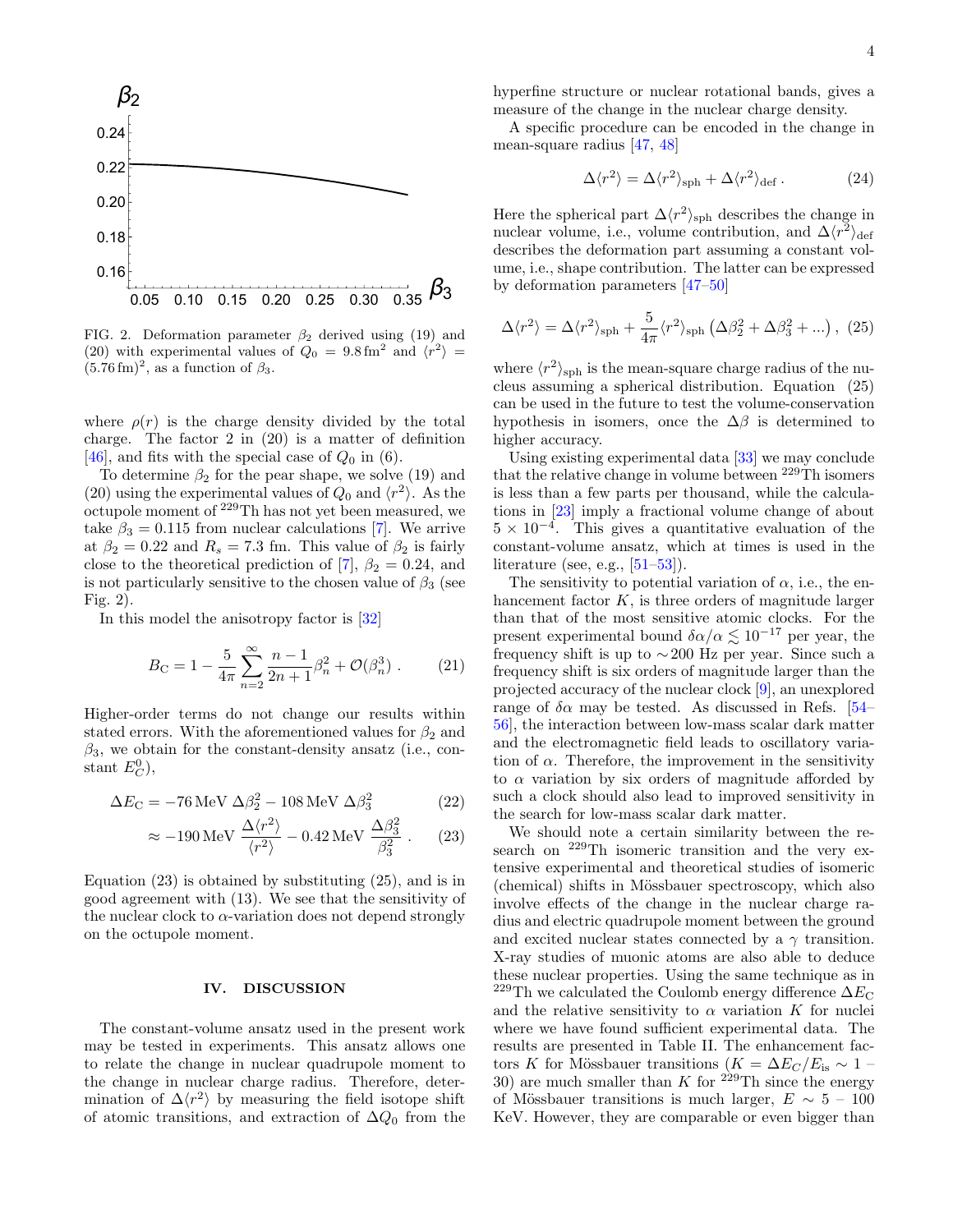

<span id="page-3-0"></span>FIG. 2. Deformation parameter  $\beta_2$  derived using [\(19\)](#page-2-4) and [\(20\)](#page-2-5) with experimental values of  $Q_0 = 9.8 \text{ fm}^2$  and  $\langle r^2 \rangle =$  $(5.76 \,\mathrm{fm})^2$ , as a function of  $\beta_3$ .

where  $\rho(r)$  is the charge density divided by the total charge. The factor 2 in [\(20\)](#page-2-5) is a matter of definition [\[46\]](#page-5-25), and fits with the special case of  $Q_0$  in [\(6\)](#page-1-4).

To determine  $\beta_2$  for the pear shape, we solve [\(19\)](#page-2-4) and [\(20\)](#page-2-5) using the experimental values of  $Q_0$  and  $\langle r^2 \rangle$ . As the octupole moment of <sup>229</sup>Th has not yet been measured, we take  $\beta_3 = 0.115$  from nuclear calculations [\[7\]](#page-4-4). We arrive at  $\beta_2 = 0.22$  and  $R_s = 7.3$  fm. This value of  $\beta_2$  is fairly close to the theoretical prediction of [\[7\]](#page-4-4),  $\beta_2 = 0.24$ , and is not particularly sensitive to the chosen value of  $\beta_3$  (see Fig. [2\)](#page-3-0).

In this model the anisotropy factor is [\[32\]](#page-5-12)

$$
B_{\rm C} = 1 - \frac{5}{4\pi} \sum_{n=2}^{\infty} \frac{n-1}{2n+1} \beta_n^2 + \mathcal{O}(\beta_n^3) \ . \tag{21}
$$

Higher-order terms do not change our results within stated errors. With the aforementioned values for  $\beta_2$  and  $\beta_3$ , we obtain for the constant-density ansatz (i.e., constant  $E_C^0$ ),

$$
\Delta E_{\rm C} = -76 \,\text{MeV} \,\Delta \beta_2^2 - 108 \,\text{MeV} \,\Delta \beta_3^2 \tag{22}
$$

$$
\approx -190 \,\text{MeV} \,\frac{\Delta \langle r^2 \rangle}{\langle r^2 \rangle} - 0.42 \,\text{MeV} \,\frac{\Delta \beta_3^2}{\beta_3^2} \,. \tag{23}
$$

Equation [\(23\)](#page-3-1) is obtained by substituting [\(25\)](#page-3-2), and is in good agreement with [\(13\)](#page-2-6). We see that the sensitivity of the nuclear clock to  $\alpha$ -variation does not depend strongly on the octupole moment.

# IV. DISCUSSION

The constant-volume ansatz used in the present work may be tested in experiments. This ansatz allows one to relate the change in nuclear quadrupole moment to the change in nuclear charge radius. Therefore, determination of  $\Delta \langle r^2 \rangle$  by measuring the field isotope shift of atomic transitions, and extraction of  $\Delta Q_0$  from the

hyperfine structure or nuclear rotational bands, gives a measure of the change in the nuclear charge density.

A specific procedure can be encoded in the change in mean-square radius [\[47,](#page-5-26) [48\]](#page-5-27)

<span id="page-3-2"></span>
$$
\Delta \langle r^2 \rangle = \Delta \langle r^2 \rangle_{\rm sph} + \Delta \langle r^2 \rangle_{\rm def} . \tag{24}
$$

Here the spherical part  $\Delta \langle r^2 \rangle_{\rm sph}$  describes the change in nuclear volume, i.e., volume contribution, and  $\Delta \langle r^2 \rangle_{\text{def}}$ describes the deformation part assuming a constant volume, i.e., shape contribution. The latter can be expressed by deformation parameters [\[47–](#page-5-26)[50\]](#page-5-28)

$$
\Delta \langle r^2 \rangle = \Delta \langle r^2 \rangle_{\rm sph} + \frac{5}{4\pi} \langle r^2 \rangle_{\rm sph} \left( \Delta \beta_2^2 + \Delta \beta_3^2 + \ldots \right), (25)
$$

where  $\langle r^2 \rangle_{\rm sph}$  is the mean-square charge radius of the nucleus assuming a spherical distribution. Equation [\(25\)](#page-3-2) can be used in the future to test the volume-conservation hypothesis in isomers, once the  $\Delta\beta$  is determined to higher accuracy.

Using existing experimental data [\[33\]](#page-5-13) we may conclude that the relative change in volume between <sup>229</sup>Th isomers is less than a few parts per thousand, while the calculations in [\[23\]](#page-5-16) imply a fractional volume change of about  $5 \times 10^{-4}$ . This gives a quantitative evaluation of the constant-volume ansatz, which at times is used in the literature (see, e.g., [\[51](#page-5-29)[–53\]](#page-5-30)).

The sensitivity to potential variation of  $\alpha$ , i.e., the enhancement factor  $K$ , is three orders of magnitude larger than that of the most sensitive atomic clocks. For the present experimental bound  $\delta \alpha / \alpha \leq 10^{-17}$  per year, the frequency shift is up to ∼200 Hz per year. Since such a frequency shift is six orders of magnitude larger than the projected accuracy of the nuclear clock [\[9\]](#page-4-7), an unexplored range of  $\delta \alpha$  may be tested. As discussed in Refs. [\[54–](#page-5-31) [56\]](#page-5-32), the interaction between low-mass scalar dark matter and the electromagnetic field leads to oscillatory variation of  $\alpha$ . Therefore, the improvement in the sensitivity to  $\alpha$  variation by six orders of magnitude afforded by such a clock should also lead to improved sensitivity in the search for low-mass scalar dark matter.

<span id="page-3-1"></span>We should note a certain similarity between the research on <sup>229</sup>Th isomeric transition and the very extensive experimental and theoretical studies of isomeric (chemical) shifts in Mössbauer spectroscopy, which also involve effects of the change in the nuclear charge radius and electric quadrupole moment between the ground and excited nuclear states connected by a  $\gamma$  transition. X-ray studies of muonic atoms are also able to deduce these nuclear properties. Using the same technique as in  $^{229}\mathrm{Th}$  we calculated the Coulomb energy difference  $\Delta E_{\mathrm{C}}$ and the relative sensitivity to  $\alpha$  variation K for nuclei where we have found sufficient experimental data. The results are presented in Table [II.](#page-4-8) The enhancement factors K for Mössbauer transitions ( $K = \Delta E_C/E_{\text{is}} \sim 1$  – 30) are much smaller than K for  $2^{29}$ Th since the energy of Mössbauer transitions is much larger,  $E \sim 5 - 100$ KeV. However, they are comparable or even bigger than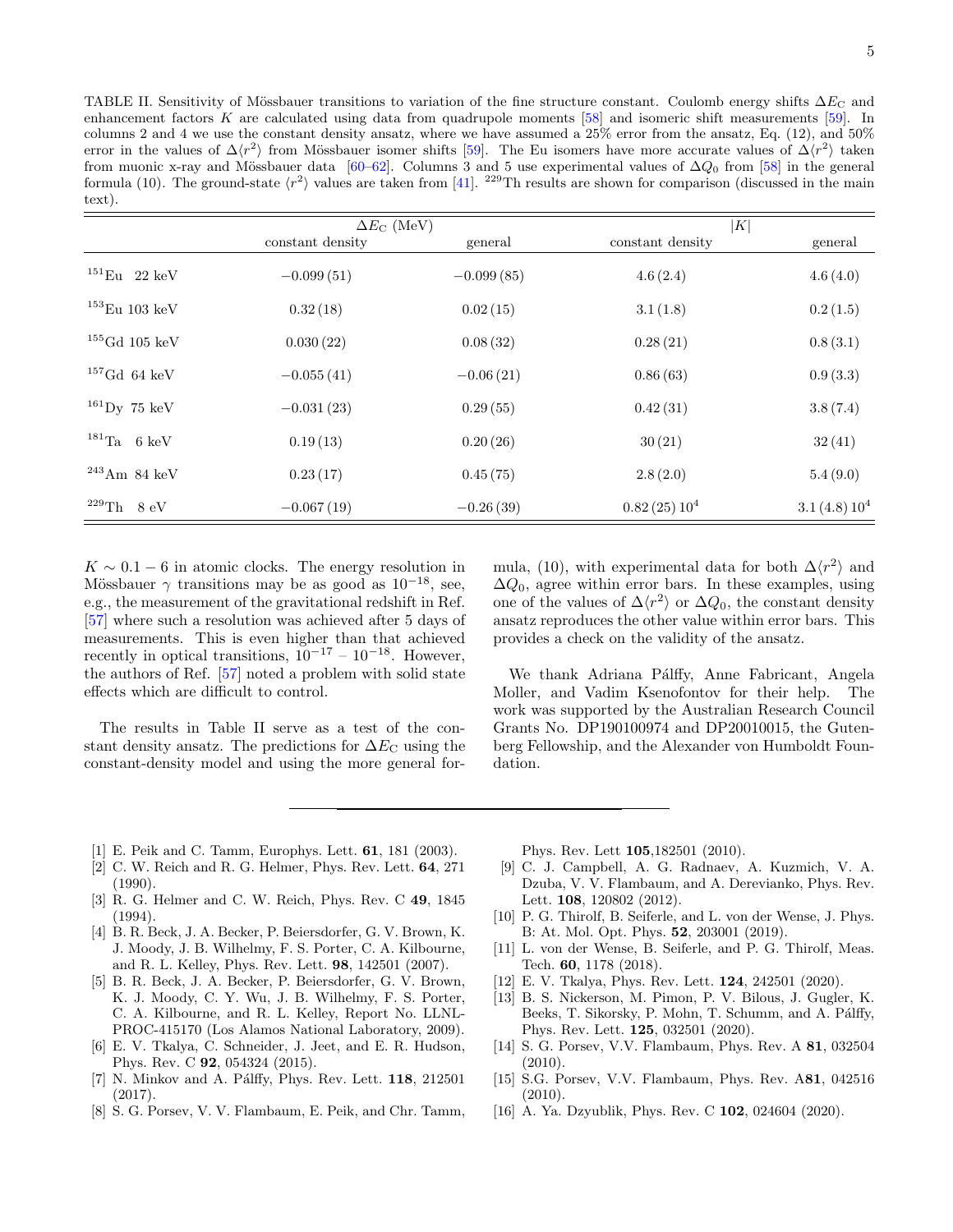<span id="page-4-8"></span>TABLE II. Sensitivity of Mössbauer transitions to variation of the fine structure constant. Coulomb energy shifts  $\Delta E_{\rm C}$  and enhancement factors K are calculated using data from quadrupole moments [\[58\]](#page-5-33) and isomeric shift measurements [\[59\]](#page-5-34). In columns 2 and 4 we use the constant density ansatz, where we have assumed a 25% error from the ansatz, Eq. [\(12\)](#page-1-6), and 50% error in the values of  $\Delta \langle r^2 \rangle$  from Mössbauer isomer shifts [\[59\]](#page-5-34). The Eu isomers have more accurate values of  $\Delta \langle r^2 \rangle$  taken from muonic x-ray and Mössbauer data [\[60](#page-5-35)[–62\]](#page-5-36). Columns 3 and 5 use experimental values of  $\Delta Q_0$  from [\[58\]](#page-5-33) in the general formula [\(10\)](#page-1-1). The ground-state  $\langle r^2 \rangle$  values are taken from [\[41\]](#page-5-20). <sup>229</sup>Th results are shown for comparison (discussed in the main text).

|                                        | $\Delta E_{\rm C}$ (MeV) |              | K                       |                         |
|----------------------------------------|--------------------------|--------------|-------------------------|-------------------------|
|                                        | constant density         | general      | constant density        | general                 |
| $^{151}\mathrm{Eu}$ 22 keV             | $-0.099(51)$             | $-0.099(85)$ | 4.6(2.4)                | 4.6(4.0)                |
| $^{153}\mathrm{Eu}$ 103 keV            | 0.32(18)                 | 0.02(15)     | 3.1(1.8)                | 0.2(1.5)                |
| $^{155}\text{Gd}$ 105 keV              | 0.030(22)                | 0.08(32)     | 0.28(21)                | 0.8(3.1)                |
| $^{157}\mathrm{Gd}$ 64 keV             | $-0.055(41)$             | $-0.06(21)$  | 0.86(63)                | 0.9(3.3)                |
| $^{161}\mathrm{Dy}$ 75 keV             | $-0.031(23)$             | 0.29(55)     | 0.42(31)                | 3.8(7.4)                |
| $^{181}\mathrm{Ta}$ – $6~\mathrm{keV}$ | 0.19(13)                 | 0.20(26)     | 30(21)                  | 32(41)                  |
| $^{243}\mathrm{Am}$ 84 keV             | 0.23(17)                 | 0.45(75)     | 2.8(2.0)                | 5.4(9.0)                |
| $^{229}\mathrm{Th}$ $\,$ 8 eV          | $-0.067(19)$             | $-0.26(39)$  | 0.82(25)10 <sup>4</sup> | 3.1(4.8)10 <sup>4</sup> |

 $K \sim 0.1 - 6$  in atomic clocks. The energy resolution in Mössbauer  $\gamma$  transitions may be as good as 10<sup>-18</sup>, see, e.g., the measurement of the gravitational redshift in Ref. [\[57\]](#page-5-37) where such a resolution was achieved after 5 days of measurements. This is even higher than that achieved recently in optical transitions,  $10^{-17} - 10^{-18}$ . However, the authors of Ref. [\[57\]](#page-5-37) noted a problem with solid state effects which are difficult to control.

The results in Table [II](#page-4-8) serve as a test of the constant density ansatz. The predictions for  $\Delta E_{\rm C}$  using the constant-density model and using the more general for-

mula, [\(10\)](#page-1-1), with experimental data for both  $\Delta \langle r^2 \rangle$  and  $\Delta Q_0$ , agree within error bars. In these examples, using one of the values of  $\Delta \langle r^2 \rangle$  or  $\Delta Q_0$ , the constant density ansatz reproduces the other value within error bars. This provides a check on the validity of the ansatz.

We thank Adriana Pálffy, Anne Fabricant, Angela Moller, and Vadim Ksenofontov for their help. The work was supported by the Australian Research Council Grants No. DP190100974 and DP20010015, the Gutenberg Fellowship, and the Alexander von Humboldt Foundation.

- <span id="page-4-0"></span>[1] E. Peik and C. Tamm, Europhys. Lett. 61, 181 (2003).
- <span id="page-4-1"></span>[2] C. W. Reich and R. G. Helmer, Phys. Rev. Lett. 64, 271 (1990).
- [3] R. G. Helmer and C. W. Reich, Phys. Rev. C 49, 1845 (1994).
- [4] B. R. Beck, J. A. Becker, P. Beiersdorfer, G. V. Brown, K. J. Moody, J. B. Wilhelmy, F. S. Porter, C. A. Kilbourne, and R. L. Kelley, Phys. Rev. Lett. 98, 142501 (2007).
- <span id="page-4-2"></span>[5] B. R. Beck, J. A. Becker, P. Beiersdorfer, G. V. Brown, K. J. Moody, C. Y. Wu, J. B. Wilhelmy, F. S. Porter, C. A. Kilbourne, and R. L. Kelley, Report No. LLNL-PROC-415170 (Los Alamos National Laboratory, 2009).
- <span id="page-4-3"></span>[6] E. V. Tkalya, C. Schneider, J. Jeet, and E. R. Hudson, Phys. Rev. C 92, 054324 (2015).
- <span id="page-4-4"></span> $[7]$  N. Minkov and A. Pálffy, Phys. Rev. Lett.  $118$ , 212501 (2017).
- <span id="page-4-5"></span>[8] S. G. Porsev, V. V. Flambaum, E. Peik, and Chr. Tamm,

Phys. Rev. Lett 105,182501 (2010).

- <span id="page-4-7"></span>[9] C. J. Campbell, A. G. Radnaev, A. Kuzmich, V. A. Dzuba, V. V. Flambaum, and A. Derevianko, Phys. Rev. Lett. 108, 120802 (2012).
- [10] P. G. Thirolf, B. Seiferle, and L. von der Wense, J. Phys. B: At. Mol. Opt. Phys. 52, 203001 (2019).
- [11] L. von der Wense, B. Seiferle, and P. G. Thirolf, Meas. Tech. 60, 1178 (2018).
- [12] E. V. Tkalya, Phys. Rev. Lett. 124, 242501 (2020).
- [13] B. S. Nickerson, M. Pimon, P. V. Bilous, J. Gugler, K. Beeks, T. Sikorsky, P. Mohn, T. Schumm, and A. Pálffy, Phys. Rev. Lett. 125, 032501 (2020).
- [14] S. G. Porsev, V.V. Flambaum, Phys. Rev. A 81, 032504 (2010).
- [15] S.G. Porsev, V.V. Flambaum, Phys. Rev. A81, 042516 (2010).
- <span id="page-4-6"></span>[16] A. Ya. Dzyublik, Phys. Rev. C 102, 024604 (2020).